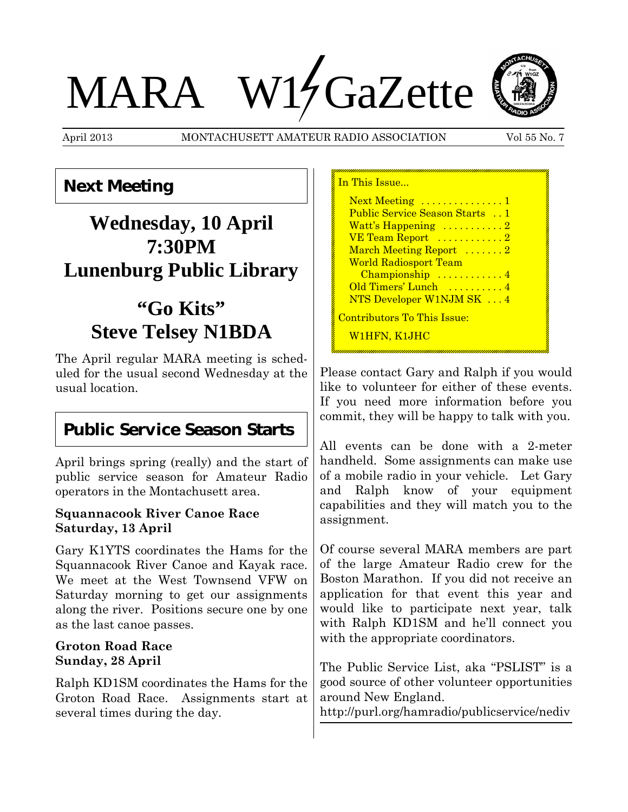# MARA W14 GaZette



#### **Next Meeting**

# **Wednesday, 10 April 7:30PM Lunenburg Public Library**

# **"Go Kits" Steve Telsey N1BDA**

The April regular MARA meeting is scheduled for the usual second Wednesday at the usual location.

#### **Public Service Season Starts**

April brings spring (really) and the start of public service season for Amateur Radio operators in the Montachusett area.

#### **Squannacook River Canoe Race Saturday, 13 April**

Gary K1YTS coordinates the Hams for the Squannacook River Canoe and Kayak race. We meet at the West Townsend VFW on Saturday morning to get our assignments along the river. Positions secure one by one as the last canoe passes.

#### **Groton Road Race Sunday, 28 April**

Ralph KD1SM coordinates the Hams for the Groton Road Race. Assignments start at several times during the day.

| In This Issue                         |
|---------------------------------------|
| Next Meeting  1                       |
| <b>Public Service Season Starts</b> 1 |
| Watt's Happening 2                    |
|                                       |
| March Meeting Report 2                |
| <b>World Radiosport Team</b>          |
| Championship  4                       |
| Old Timers' Lunch  4                  |
| NTS Developer W1NJM SK  4             |
| <u> Contributors To This Issue:</u>   |
| W1HFN, K1JHC                          |

Please contact Gary and Ralph if you would like to volunteer for either of these events. If you need more information before you commit, they will be happy to talk with you.

All events can be done with a 2-meter handheld. Some assignments can make use of a mobile radio in your vehicle. Let Gary and Ralph know of your equipment capabilities and they will match you to the assignment.

Of course several MARA members are part of the large Amateur Radio crew for the Boston Marathon. If you did not receive an application for that event this year and would like to participate next year, talk with Ralph KD1SM and he'll connect you with the appropriate coordinators.

The Public Service List, aka "PSLIST" is a good source of other volunteer opportunities around New England.

http://purl.org/hamradio/publicservice/nediv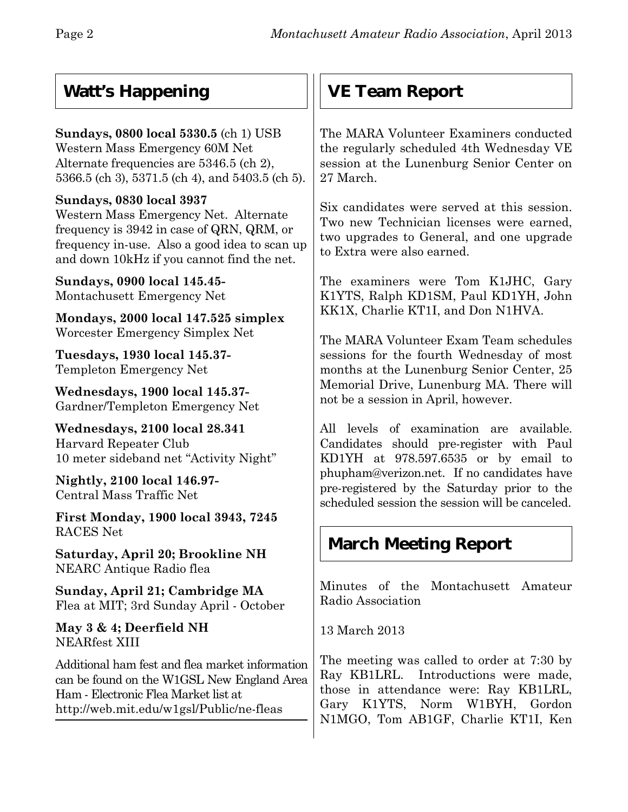## **Watt's Happening**

#### **Sundays, 0800 local 5330.5** (ch 1) USB Western Mass Emergency 60M Net Alternate frequencies are 5346.5 (ch 2), 5366.5 (ch 3), 5371.5 (ch 4), and 5403.5 (ch 5).

#### **Sundays, 0830 local 3937**

Western Mass Emergency Net. Alternate frequency is 3942 in case of QRN, QRM, or frequency in-use. Also a good idea to scan up and down 10kHz if you cannot find the net.

**Sundays, 0900 local 145.45-** Montachusett Emergency Net

**Mondays, 2000 local 147.525 simplex** Worcester Emergency Simplex Net

**Tuesdays, 1930 local 145.37-** Templeton Emergency Net

**Wednesdays, 1900 local 145.37-** Gardner/Templeton Emergency Net

**Wednesdays, 2100 local 28.341** Harvard Repeater Club 10 meter sideband net "Activity Night"

**Nightly, 2100 local 146.97-** Central Mass Traffic Net

**First Monday, 1900 local 3943, 7245** RACES Net

**Saturday, April 20; Brookline NH** NEARC Antique Radio flea

**Sunday, April 21; Cambridge MA** Flea at MIT; 3rd Sunday April - October

**May 3 & 4; Deerfield NH** NEARfest XIII

Additional ham fest and flea market information can be found on the W1GSL New England Area Ham - Electronic Flea Market list at http://web.mit.edu/w1gsl/Public/ne-fleas

## **VE Team Report**

The MARA Volunteer Examiners conducted the regularly scheduled 4th Wednesday VE session at the Lunenburg Senior Center on 27 March.

Six candidates were served at this session. Two new Technician licenses were earned, two upgrades to General, and one upgrade to Extra were also earned.

The examiners were Tom K1JHC, Gary K1YTS, Ralph KD1SM, Paul KD1YH, John KK1X, Charlie KT1I, and Don N1HVA.

The MARA Volunteer Exam Team schedules sessions for the fourth Wednesday of most months at the Lunenburg Senior Center, 25 Memorial Drive, Lunenburg MA. There will not be a session in April, however.

All levels of examination are available. Candidates should pre-register with Paul KD1YH at 978.597.6535 or by email to phupham@verizon.net.If no candidates have pre-registered by the Saturday prior to the scheduled session the session will be canceled.

## **March Meeting Report**

Minutes of the Montachusett Amateur Radio Association

13 March 2013

The meeting was called to order at 7:30 by Ray KB1LRL. Introductions were made, those in attendance were: Ray KB1LRL, Gary K1YTS, Norm W1BYH, Gordon N1MGO, Tom AB1GF, Charlie KT1I, Ken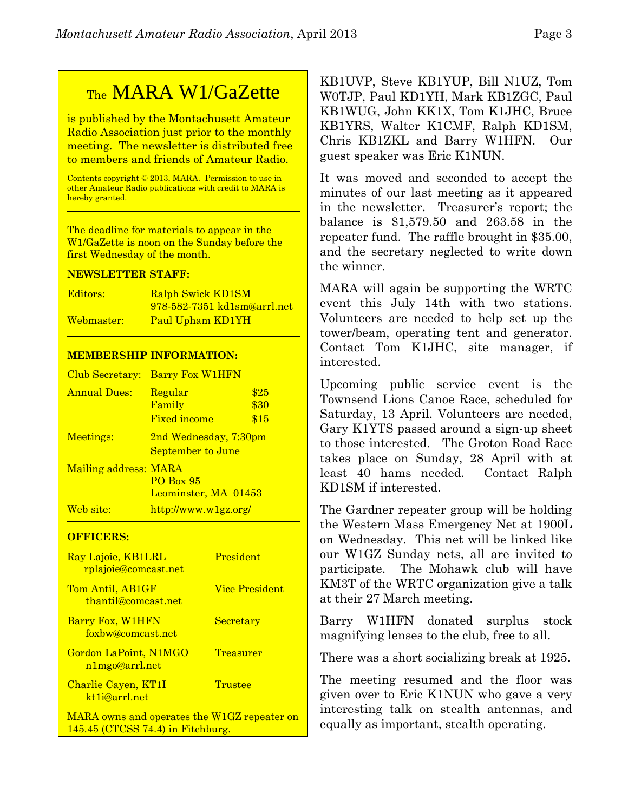## TheMARA W1/GaZette

is published by the Montachusett Amateur Radio Association just prior to the monthly meeting. The newsletter is distributed free to members and friends of Amateur Radio.

Contents copyright © 2013, MARA. Permission to use in other Amateur Radio publications with credit to MARA is hereby granted.

The deadline for materials to appear in the W1/GaZette is noon on the Sunday before the first Wednesday of the month.

#### **NEWSLETTER STAFF:**

| Editors:   | <b>Ralph Swick KD1SM</b>    |
|------------|-----------------------------|
|            | 978-582-7351 kd1sm@arrl.net |
| Webmaster: | Paul Upham KD1YH            |

#### **MEMBERSHIP INFORMATION:**

| Club Secretary:       | <b>Barry Fox W1HFN</b>                              |                      |
|-----------------------|-----------------------------------------------------|----------------------|
| <b>Annual Dues:</b>   | Regular<br>Family<br><b>Fixed income</b>            | \$25<br>\$30<br>\$15 |
| Meetings:             | 2nd Wednesday, 7:30pm<br>September to June          |                      |
| Mailing address: MARA | <b>PO Box 95</b><br>Leominster, MA 01453            |                      |
| Web site:             | $\frac{http://www.w1gz.org/}{http://www.w1gz.org/}$ |                      |

#### **OFFICERS:**

| Ray Lajoie, KB1LRL<br>rplajoie@comcast.net       | <b>President</b>      |
|--------------------------------------------------|-----------------------|
| Tom Antil, AB1GF<br>thantil@comcast.net          | <b>Vice President</b> |
| Barry Fox, W1HFN<br>foxbw@comcast.net            | Secretary             |
| Gordon LaPoint, N1MGO<br>n1mgo@arrl.net          | Treasurer             |
| Charlie Cayen, KT1I<br>kt <sub>1i@arrl.net</sub> | Trustee               |
| MARA owns and operates the W1GZ repeater on      |                       |

145.45 (CTCSS 74.4) in Fitchburg.

KB1UVP, Steve KB1YUP, Bill N1UZ, Tom W0TJP, Paul KD1YH, Mark KB1ZGC, Paul KB1WUG, John KK1X, Tom K1JHC, Bruce KB1YRS, Walter K1CMF, Ralph KD1SM, Chris KB1ZKL and Barry W1HFN. Our guest speaker was Eric K1NUN.

It was moved and seconded to accept the minutes of our last meeting as it appeared in the newsletter. Treasurer's report; the balance is \$1,579.50 and 263.58 in the repeater fund. The raffle brought in \$35.00, and the secretary neglected to write down the winner.

MARA will again be supporting the WRTC event this July 14th with two stations. Volunteers are needed to help set up the tower/beam, operating tent and generator. Contact Tom K1JHC, site manager, if interested.

Upcoming public service event is the Townsend Lions Canoe Race, scheduled for Saturday, 13 April. Volunteers are needed, Gary K1YTS passed around a sign-up sheet to those interested. The Groton Road Race takes place on Sunday, 28 April with at least 40 hams needed. Contact Ralph KD1SM if interested.

The Gardner repeater group will be holding the Western Mass Emergency Net at 1900L on Wednesday. This net will be linked like our W1GZ Sunday nets, all are invited to participate. The Mohawk club will have KM3T of the WRTC organization give a talk at their 27 March meeting.

Barry W1HFN donated surplus stock magnifying lenses to the club, free to all.

There was a short socializing break at 1925.

The meeting resumed and the floor was given over to Eric K1NUN who gave a very interesting talk on stealth antennas, and equally as important, stealth operating.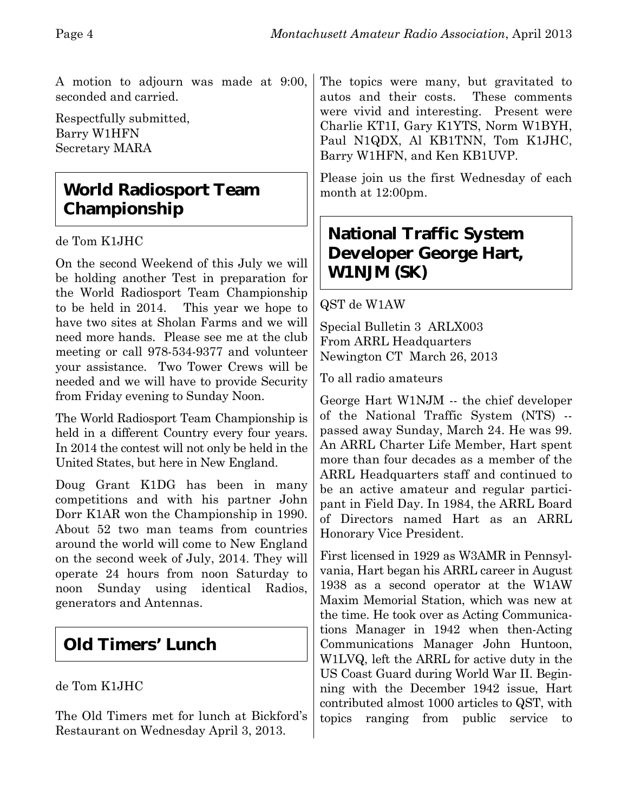A motion to adjourn was made at 9:00, seconded and carried.

Respectfully submitted, Barry W1HFN Secretary MARA

## **World Radiosport Team Championship**

de Tom K1JHC

On the second Weekend of this July we will be holding another Test in preparation for the World Radiosport Team Championship to be held in 2014. This year we hope to have two sites at Sholan Farms and we will need more hands. Please see me at the club meeting or call 978-534-9377 and volunteer your assistance. Two Tower Crews will be needed and we will have to provide Security from Friday evening to Sunday Noon.

The World Radiosport Team Championship is held in a different Country every four years. In 2014 the contest will not only be held in the United States, but here in New England.

Doug Grant K1DG has been in many competitions and with his partner John Dorr K1AR won the Championship in 1990. About 52 two man teams from countries around the world will come to New England on the second week of July, 2014. They will operate 24 hours from noon Saturday to noon Sunday using identical Radios, generators and Antennas.

## **Old Timers' Lunch**

#### de Tom K1JHC

The Old Timers met for lunch at Bickford's Restaurant on Wednesday April 3, 2013.

The topics were many, but gravitated to autos and their costs. These comments were vivid and interesting. Present were Charlie KT1I, Gary K1YTS, Norm W1BYH, Paul N1QDX, Al KB1TNN, Tom K1JHC, Barry W1HFN, and Ken KB1UVP.

Please join us the first Wednesday of each month at 12:00pm.

### **National Traffic System Developer George Hart, W1NJM (SK)**

#### QST de W1AW

Special Bulletin 3 ARLX003 From ARRL Headquarters Newington CT March 26, 2013

To all radio amateurs

George Hart W1NJM -- the chief developer of the National Traffic System (NTS) - passed away Sunday, March 24. He was 99. An ARRL Charter Life Member, Hart spent more than four decades as a member of the ARRL Headquarters staff and continued to be an active amateur and regular participant in Field Day. In 1984, the ARRL Board of Directors named Hart as an ARRL Honorary Vice President.

First licensed in 1929 as W3AMR in Pennsylvania, Hart began his ARRL career in August 1938 as a second operator at the W1AW Maxim Memorial Station, which was new at the time. He took over as Acting Communications Manager in 1942 when then-Acting Communications Manager John Huntoon, W1LVQ, left the ARRL for active duty in the US Coast Guard during World War II. Beginning with the December 1942 issue, Hart contributed almost 1000 articles to QST, with topics ranging from public service to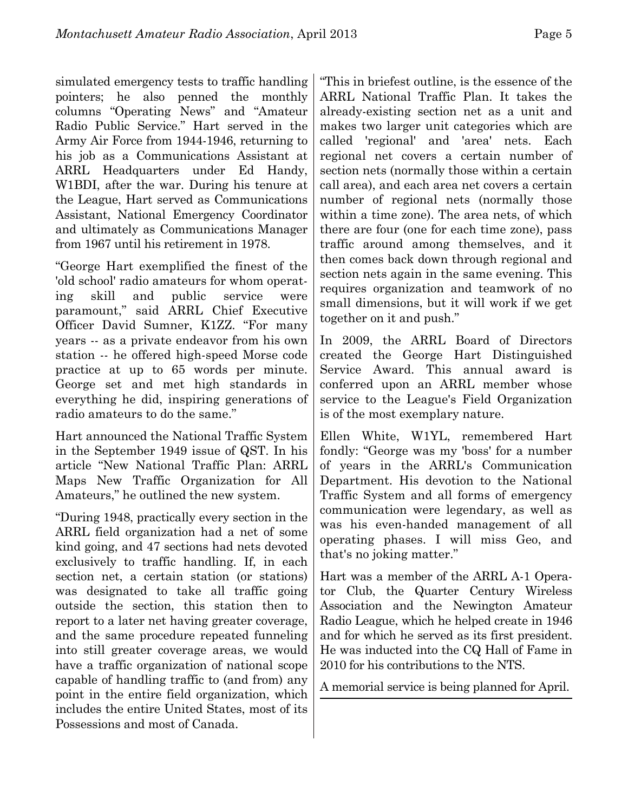simulated emergency tests to traffic handling pointers; he also penned the monthly columns "Operating News" and "Amateur Radio Public Service." Hart served in the Army Air Force from 1944-1946, returning to his job as a Communications Assistant at

ARRL Headquarters under Ed Handy, W1BDI, after the war. During his tenure at the League, Hart served as Communications Assistant, National Emergency Coordinator and ultimately as Communications Manager from 1967 until his retirement in 1978.

"George Hart exemplified the finest of the 'old school' radio amateurs for whom operating skill and public service were paramount," said ARRL Chief Executive Officer David Sumner, K1ZZ. "For many years -- as a private endeavor from his own station -- he offered high-speed Morse code practice at up to 65 words per minute. George set and met high standards in everything he did, inspiring generations of radio amateurs to do the same."

Hart announced the National Traffic System in the September 1949 issue of QST. In his article "New National Traffic Plan: ARRL Maps New Traffic Organization for All Amateurs," he outlined the new system.

"During 1948, practically every section in the ARRL field organization had a net of some kind going, and 47 sections had nets devoted exclusively to traffic handling. If, in each section net, a certain station (or stations) was designated to take all traffic going outside the section, this station then to report to a later net having greater coverage, and the same procedure repeated funneling into still greater coverage areas, we would have a traffic organization of national scope capable of handling traffic to (and from) any point in the entire field organization, which includes the entire United States, most of its Possessions and most of Canada.

"This in briefest outline, is the essence of the ARRL National Traffic Plan. It takes the already-existing section net as a unit and makes two larger unit categories which are called 'regional' and 'area' nets. Each regional net covers a certain number of section nets (normally those within a certain call area), and each area net covers a certain number of regional nets (normally those within a time zone). The area nets, of which there are four (one for each time zone), pass traffic around among themselves, and it then comes back down through regional and section nets again in the same evening. This requires organization and teamwork of no small dimensions, but it will work if we get together on it and push."

In 2009, the ARRL Board of Directors created the George Hart Distinguished Service Award. This annual award is conferred upon an ARRL member whose service to the League's Field Organization is of the most exemplary nature.

Ellen White, W1YL, remembered Hart fondly: "George was my 'boss' for a number of years in the ARRL's Communication Department. His devotion to the National Traffic System and all forms of emergency communication were legendary, as well as was his even-handed management of all operating phases. I will miss Geo, and that's no joking matter."

Hart was a member of the ARRL A-1 Operator Club, the Quarter Century Wireless Association and the Newington Amateur Radio League, which he helped create in 1946 and for which he served as its first president. He was inducted into the CQ Hall of Fame in 2010 for his contributions to the NTS.

A memorial service is being planned for April.